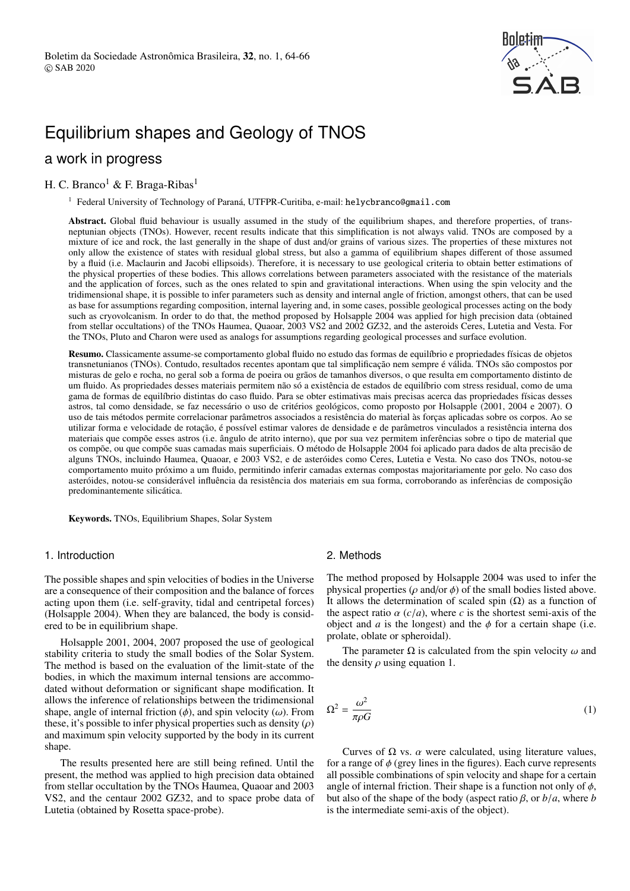

# Equilibrium shapes and Geology of TNOS

# a work in progress

# H. C. Branco<sup>1</sup> & F. Braga-Ribas<sup>1</sup>

<sup>1</sup> Federal University of Technology of Paraná, UTFPR-Curitiba, e-mail: helycbranco@gmail.com

Abstract. Global fluid behaviour is usually assumed in the study of the equilibrium shapes, and therefore properties, of transneptunian objects (TNOs). However, recent results indicate that this simplification is not always valid. TNOs are composed by a mixture of ice and rock, the last generally in the shape of dust and/or grains of various sizes. The properties of these mixtures not only allow the existence of states with residual global stress, but also a gamma of equilibrium shapes different of those assumed by a fluid (i.e. Maclaurin and Jacobi ellipsoids). Therefore, it is necessary to use geological criteria to obtain better estimations of the physical properties of these bodies. This allows correlations between parameters associated with the resistance of the materials and the application of forces, such as the ones related to spin and gravitational interactions. When using the spin velocity and the tridimensional shape, it is possible to infer parameters such as density and internal angle of friction, amongst others, that can be used as base for assumptions regarding composition, internal layering and, in some cases, possible geological processes acting on the body such as cryovolcanism. In order to do that, the method proposed by [Holsapple 2004](#page-2-0) was applied for high precision data (obtained from stellar occultations) of the TNOs Haumea, Quaoar, 2003 VS2 and 2002 GZ32, and the asteroids Ceres, Lutetia and Vesta. For the TNOs, Pluto and Charon were used as analogs for assumptions regarding geological processes and surface evolution.

Resumo. Classicamente assume-se comportamento global fluido no estudo das formas de equilíbrio e propriedades físicas de objetos transnetunianos (TNOs). Contudo, resultados recentes apontam que tal simplificação nem sempre é válida. TNOs são compostos por misturas de gelo e rocha, no geral sob a forma de poeira ou grãos de tamanhos diversos, o que resulta em comportamento distinto de um fluido. As propriedades desses materiais permitem não só a existência de estados de equilíbrio com stress residual, como de uma gama de formas de equilíbrio distintas do caso fluido. Para se obter estimativas mais precisas acerca das propriedades físicas desses astros, tal como densidade, se faz necessário o uso de critérios geológicos, como proposto por Holsapple (2001, 2004 e 2007). O uso de tais métodos permite correlacionar parâmetros associados a resistência do material às forças aplicadas sobre os corpos. Ao se utilizar forma e velocidade de rotação, é possível estimar valores de densidade e de parâmetros vinculados a resistência interna dos materiais que compõe esses astros (i.e. ângulo de atrito interno), que por sua vez permitem inferências sobre o tipo de material que os compõe, ou que compõe suas camadas mais superficiais. O método de [Holsapple 2004](#page-2-0) foi aplicado para dados de alta precisão de alguns TNOs, incluindo Haumea, Quaoar, e 2003 VS2, e de asteróides como Ceres, Lutetia e Vesta. No caso dos TNOs, notou-se comportamento muito próximo a um fluido, permitindo inferir camadas externas compostas majoritariamente por gelo. No caso dos asteróides, notou-se considerável influência da resistência dos materiais em sua forma, corroborando as inferências de composição predominantemente silicática.

Keywords. TNOs, Equilibrium Shapes, Solar System

## 1. Introduction

The possible shapes and spin velocities of bodies in the Universe are a consequence of their composition and the balance of forces acting upon them (i.e. self-gravity, tidal and centripetal forces) [\(Holsapple 2004\)](#page-2-0). When they are balanced, the body is considered to be in equilibrium shape.

[Holsapple 2001,](#page-2-1) [2004,](#page-2-0) [2007](#page-2-2) proposed the use of geological stability criteria to study the small bodies of the Solar System. The method is based on the evaluation of the limit-state of the bodies, in which the maximum internal tensions are accommodated without deformation or significant shape modification. It allows the inference of relationships between the tridimensional shape, angle of internal friction  $(\phi)$ , and spin velocity  $(\omega)$ . From these, it's possible to infer physical properties such as density  $(\rho)$ and maximum spin velocity supported by the body in its current shape.

The results presented here are still being refined. Until the present, the method was applied to high precision data obtained from stellar occultation by the TNOs Haumea, Quaoar and 2003 VS2, and the centaur 2002 GZ32, and to space probe data of Lutetia (obtained by Rosetta space-probe).

#### 2. Methods

The method proposed by [Holsapple 2004](#page-2-0) was used to infer the physical properties ( $\rho$  and/or  $\phi$ ) of the small bodies listed above. It allows the determination of scaled spin  $(\Omega)$  as a function of the aspect ratio  $\alpha$  ( $c/a$ ), where *c* is the shortest semi-axis of the object and *a* is the longest) and the  $\phi$  for a certain shape (i.e. prolate, oblate or spheroidal).

The parameter  $\Omega$  is calculated from the spin velocity  $\omega$  and the density  $\rho$  using equation 1.

$$
\Omega^2 = \frac{\omega^2}{\pi \rho G} \tag{1}
$$

Curves of Ω vs.  $\alpha$  were calculated, using literature values, for a range of  $\phi$  (grey lines in the figures). Each curve represents all possible combinations of spin velocity and shape for a certain angle of internal friction. Their shape is a function not only of  $\phi$ , but also of the shape of the body (aspect ratio β, or *<sup>b</sup>*/*a*, where *<sup>b</sup>* is the intermediate semi-axis of the object).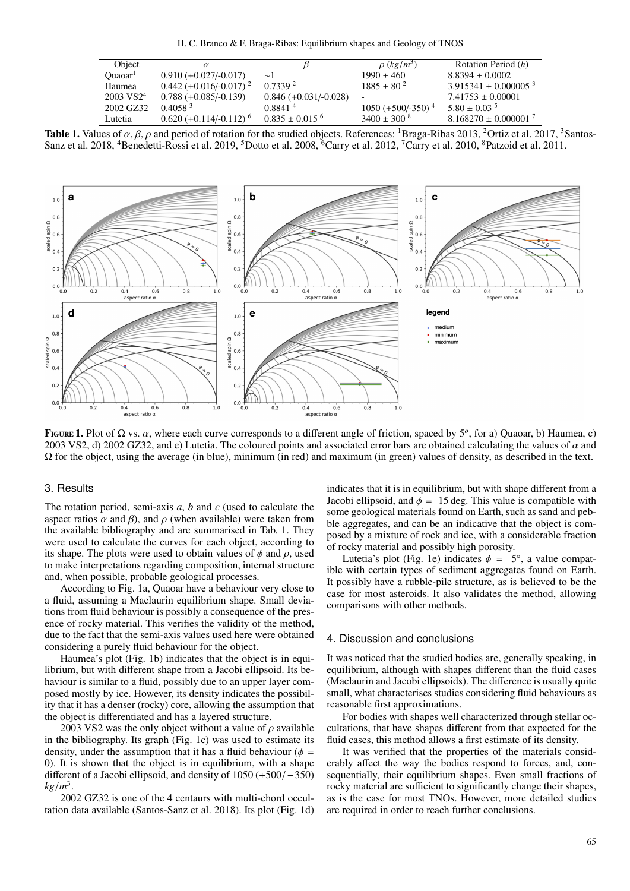H. C. Branco & F. Braga-Ribas: Equilibrium shapes and Geology of TNOS

| Object                |                           |                                | $\rho$ (kg/m <sup>3</sup> ) | Rotation Period (h)                  |
|-----------------------|---------------------------|--------------------------------|-----------------------------|--------------------------------------|
| Ouaoar <sup>1</sup>   | $0.910 (+0.027/-0.017)$   | $\sim$ 1                       | $1990 \pm 460$              | $8.8394 \pm 0.0002$                  |
| Haumea                | $0.442 (+0.016/-0.017)^2$ | 0.7339 <sup>2</sup>            | $1885 \pm 80^{2}$           | $3.915341 \pm 0.000005^{3}$          |
| $2003 \text{ VS} 2^4$ | $0.788 (+0.085/-0.139)$   | $0.846 (+0.031/-0.028)$        |                             | $7.41753 \pm 0.00001$                |
| 2002 GZ32             | 0.4058 <sup>3</sup>       | 0.8841 <sup>4</sup>            | $1050 (+500/-350)^4$        | $5.80 \pm 0.03^{5}$                  |
| Lutetia               | $0.620 (+0.114/-0.112)^6$ | $0.835 \pm 0.015$ <sup>6</sup> | $3400 \pm 300$ <sup>8</sup> | $8.168270 \pm 0.000001$ <sup>7</sup> |

<span id="page-1-0"></span>**Table 1.** Values of  $\alpha$ ,  $\beta$ ,  $\rho$  and period of rotation for the studied objects. References: <sup>1</sup>[Braga-Ribas 2013,](#page-2-3) <sup>2</sup>[Ortiz et al. 2017,](#page-2-4) <sup>3</sup>[Santos-](#page-2-5)[Sanz et al. 2018,](#page-2-5) <sup>4</sup>[Benedetti-Rossi et al. 2019,](#page-2-6) <sup>5</sup>[Dotto et al. 2008,](#page-2-7) <sup>6</sup>[Carry et al. 2012,](#page-2-8) <sup>7</sup>[Carry et al. 2010,](#page-2-9) <sup>8</sup>[Patzoid et al. 2011.](#page-2-10)



<span id="page-1-1"></span>**FIGURE 1.** Plot of Ω vs.  $\alpha$ , where each curve corresponds to a different angle of friction, spaced by 5<sup>*o*</sup>, for a) Quaoar, b) Haumea, c) To a) Quaoar, b) Haumea, c) and e) Lutetia. The coloured points and associated 2003 VS2, d) 2002 GZ32, and e) Lutetia. The coloured points and associated error bars are obtained calculating the values of  $\alpha$  and  $\Omega$  for the object, using the average (in blue), minimum (in red) and maximum (in green) values of density, as described in the text.

# 3. Results

The rotation period, semi-axis *a*, *b* and *c* (used to calculate the aspect ratios  $\alpha$  and  $\beta$ ), and  $\rho$  (when available) were taken from the available bibliography and are summarised in Tab. [1.](#page-1-0) They were used to calculate the curves for each object, according to its shape. The plots were used to obtain values of  $\phi$  and  $\rho$ , used to make interpretations regarding composition, internal structure and, when possible, probable geological processes.

According to Fig. [1a](#page-1-1), Quaoar have a behaviour very close to a fluid, assuming a Maclaurin equilibrium shape. Small deviations from fluid behaviour is possibly a consequence of the presence of rocky material. This verifies the validity of the method, due to the fact that the semi-axis values used here were obtained considering a purely fluid behaviour for the object.

Haumea's plot (Fig. [1b](#page-1-1)) indicates that the object is in equilibrium, but with different shape from a Jacobi ellipsoid. Its behaviour is similar to a fluid, possibly due to an upper layer composed mostly by ice. However, its density indicates the possibility that it has a denser (rocky) core, allowing the assumption that the object is differentiated and has a layered structure.

2003 VS2 was the only object without a value of  $\rho$  available in the bibliography. Its graph (Fig. [1c](#page-1-1)) was used to estimate its density, under the assumption that it has a fluid behaviour ( $\phi$  = 0). It is shown that the object is in equilibrium, with a shape different of a Jacobi ellipsoid, and density of 1050 (+500/−350) *kg*/*<sup>m</sup>* 3 .

2002 GZ32 is one of the 4 centaurs with multi-chord occultation data available [\(Santos-Sanz et al. 2018\)](#page-2-5). Its plot (Fig. [1d](#page-1-1)) indicates that it is in equilibrium, but with shape different from a Jacobi ellipsoid, and  $\phi = 15$  deg. This value is compatible with some geological materials found on Earth, such as sand and pebble aggregates, and can be an indicative that the object is composed by a mixture of rock and ice, with a considerable fraction of rocky material and possibly high porosity.

Lutetia's plot (Fig. [1e](#page-1-1)) indicates  $\phi = 5^\circ$ , a value compatibility with certain types of sediment aggregates found on Earth ible with certain types of sediment aggregates found on Earth. It possibly have a rubble-pile structure, as is believed to be the case for most asteroids. It also validates the method, allowing comparisons with other methods.

#### 4. Discussion and conclusions

It was noticed that the studied bodies are, generally speaking, in equilibrium, although with shapes different than the fluid cases (Maclaurin and Jacobi ellipsoids). The difference is usually quite small, what characterises studies considering fluid behaviours as reasonable first approximations.

For bodies with shapes well characterized through stellar occultations, that have shapes different from that expected for the fluid cases, this method allows a first estimate of its density.

It was verified that the properties of the materials considerably affect the way the bodies respond to forces, and, consequentially, their equilibrium shapes. Even small fractions of rocky material are sufficient to significantly change their shapes, as is the case for most TNOs. However, more detailed studies are required in order to reach further conclusions.